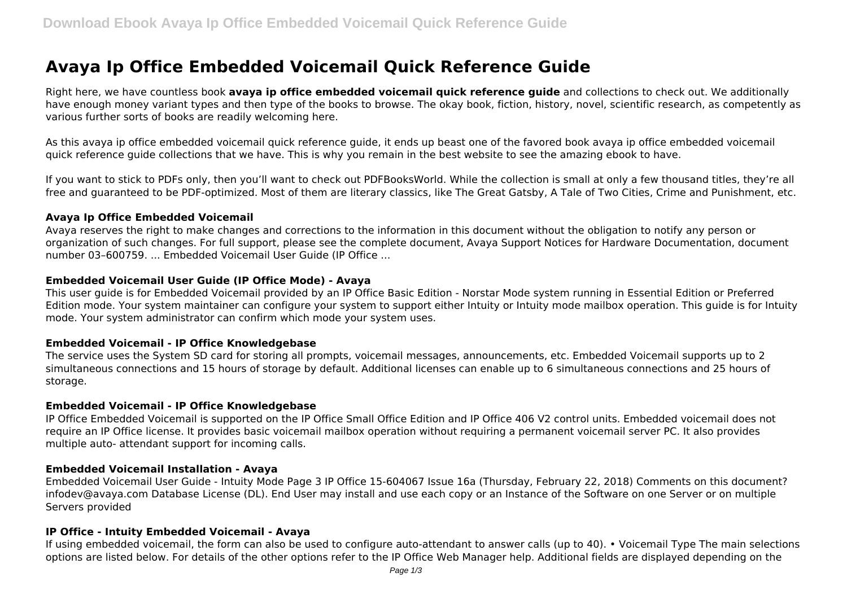# **Avaya Ip Office Embedded Voicemail Quick Reference Guide**

Right here, we have countless book **avaya ip office embedded voicemail quick reference guide** and collections to check out. We additionally have enough money variant types and then type of the books to browse. The okay book, fiction, history, novel, scientific research, as competently as various further sorts of books are readily welcoming here.

As this avaya ip office embedded voicemail quick reference guide, it ends up beast one of the favored book avaya ip office embedded voicemail quick reference guide collections that we have. This is why you remain in the best website to see the amazing ebook to have.

If you want to stick to PDFs only, then you'll want to check out PDFBooksWorld. While the collection is small at only a few thousand titles, they're all free and guaranteed to be PDF-optimized. Most of them are literary classics, like The Great Gatsby, A Tale of Two Cities, Crime and Punishment, etc.

# **Avaya Ip Office Embedded Voicemail**

Avaya reserves the right to make changes and corrections to the information in this document without the obligation to notify any person or organization of such changes. For full support, please see the complete document, Avaya Support Notices for Hardware Documentation, document number 03–600759. ... Embedded Voicemail User Guide (IP Office ...

# **Embedded Voicemail User Guide (IP Office Mode) - Avaya**

This user guide is for Embedded Voicemail provided by an IP Office Basic Edition - Norstar Mode system running in Essential Edition or Preferred Edition mode. Your system maintainer can configure your system to support either Intuity or Intuity mode mailbox operation. This guide is for Intuity mode. Your system administrator can confirm which mode your system uses.

# **Embedded Voicemail - IP Office Knowledgebase**

The service uses the System SD card for storing all prompts, voicemail messages, announcements, etc. Embedded Voicemail supports up to 2 simultaneous connections and 15 hours of storage by default. Additional licenses can enable up to 6 simultaneous connections and 25 hours of storage.

# **Embedded Voicemail - IP Office Knowledgebase**

IP Office Embedded Voicemail is supported on the IP Office Small Office Edition and IP Office 406 V2 control units. Embedded voicemail does not require an IP Office license. It provides basic voicemail mailbox operation without requiring a permanent voicemail server PC. It also provides multiple auto- attendant support for incoming calls.

#### **Embedded Voicemail Installation - Avaya**

Embedded Voicemail User Guide - Intuity Mode Page 3 IP Office 15-604067 Issue 16a (Thursday, February 22, 2018) Comments on this document? infodev@avaya.com Database License (DL). End User may install and use each copy or an Instance of the Software on one Server or on multiple Servers provided

# **IP Office - Intuity Embedded Voicemail - Avaya**

If using embedded voicemail, the form can also be used to configure auto-attendant to answer calls (up to 40). • Voicemail Type The main selections options are listed below. For details of the other options refer to the IP Office Web Manager help. Additional fields are displayed depending on the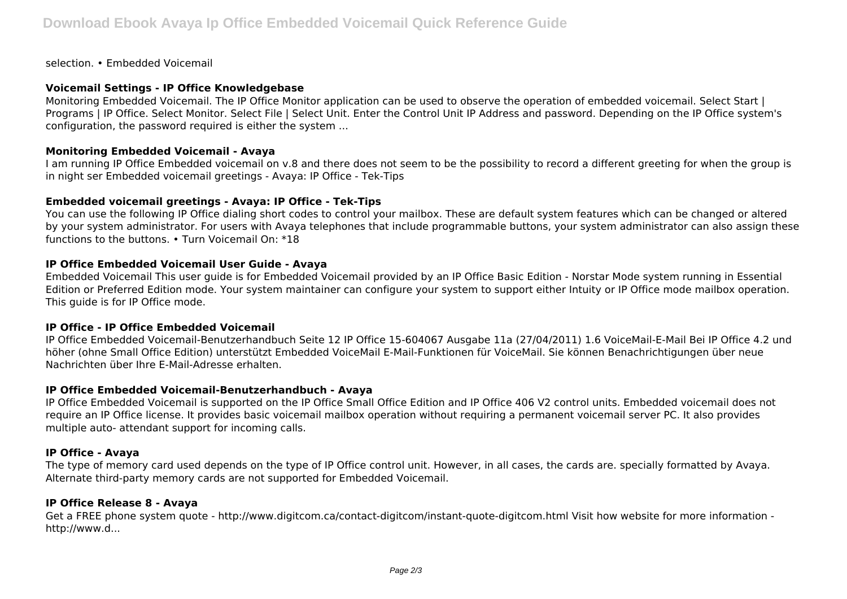selection. • Embedded Voicemail

# **Voicemail Settings - IP Office Knowledgebase**

Monitoring Embedded Voicemail. The IP Office Monitor application can be used to observe the operation of embedded voicemail. Select Start | Programs | IP Office. Select Monitor. Select File | Select Unit. Enter the Control Unit IP Address and password. Depending on the IP Office system's configuration, the password required is either the system ...

# **Monitoring Embedded Voicemail - Avaya**

I am running IP Office Embedded voicemail on v.8 and there does not seem to be the possibility to record a different greeting for when the group is in night ser Embedded voicemail greetings - Avaya: IP Office - Tek-Tips

# **Embedded voicemail greetings - Avaya: IP Office - Tek-Tips**

You can use the following IP Office dialing short codes to control your mailbox. These are default system features which can be changed or altered by your system administrator. For users with Avaya telephones that include programmable buttons, your system administrator can also assign these functions to the buttons. • Turn Voicemail On: \*18

# **IP Office Embedded Voicemail User Guide - Avaya**

Embedded Voicemail This user guide is for Embedded Voicemail provided by an IP Office Basic Edition - Norstar Mode system running in Essential Edition or Preferred Edition mode. Your system maintainer can configure your system to support either Intuity or IP Office mode mailbox operation. This guide is for IP Office mode.

# **IP Office - IP Office Embedded Voicemail**

IP Office Embedded Voicemail-Benutzerhandbuch Seite 12 IP Office 15-604067 Ausgabe 11a (27/04/2011) 1.6 VoiceMail-E-Mail Bei IP Office 4.2 und höher (ohne Small Office Edition) unterstützt Embedded VoiceMail E-Mail-Funktionen für VoiceMail. Sie können Benachrichtigungen über neue Nachrichten über Ihre E-Mail-Adresse erhalten.

# **IP Office Embedded Voicemail-Benutzerhandbuch - Avaya**

IP Office Embedded Voicemail is supported on the IP Office Small Office Edition and IP Office 406 V2 control units. Embedded voicemail does not require an IP Office license. It provides basic voicemail mailbox operation without requiring a permanent voicemail server PC. It also provides multiple auto- attendant support for incoming calls.

# **IP Office - Avaya**

The type of memory card used depends on the type of IP Office control unit. However, in all cases, the cards are. specially formatted by Avaya. Alternate third-party memory cards are not supported for Embedded Voicemail.

# **IP Office Release 8 - Avaya**

Get a FREE phone system quote - http://www.digitcom.ca/contact-digitcom/instant-quote-digitcom.html Visit how website for more information http://www.d...